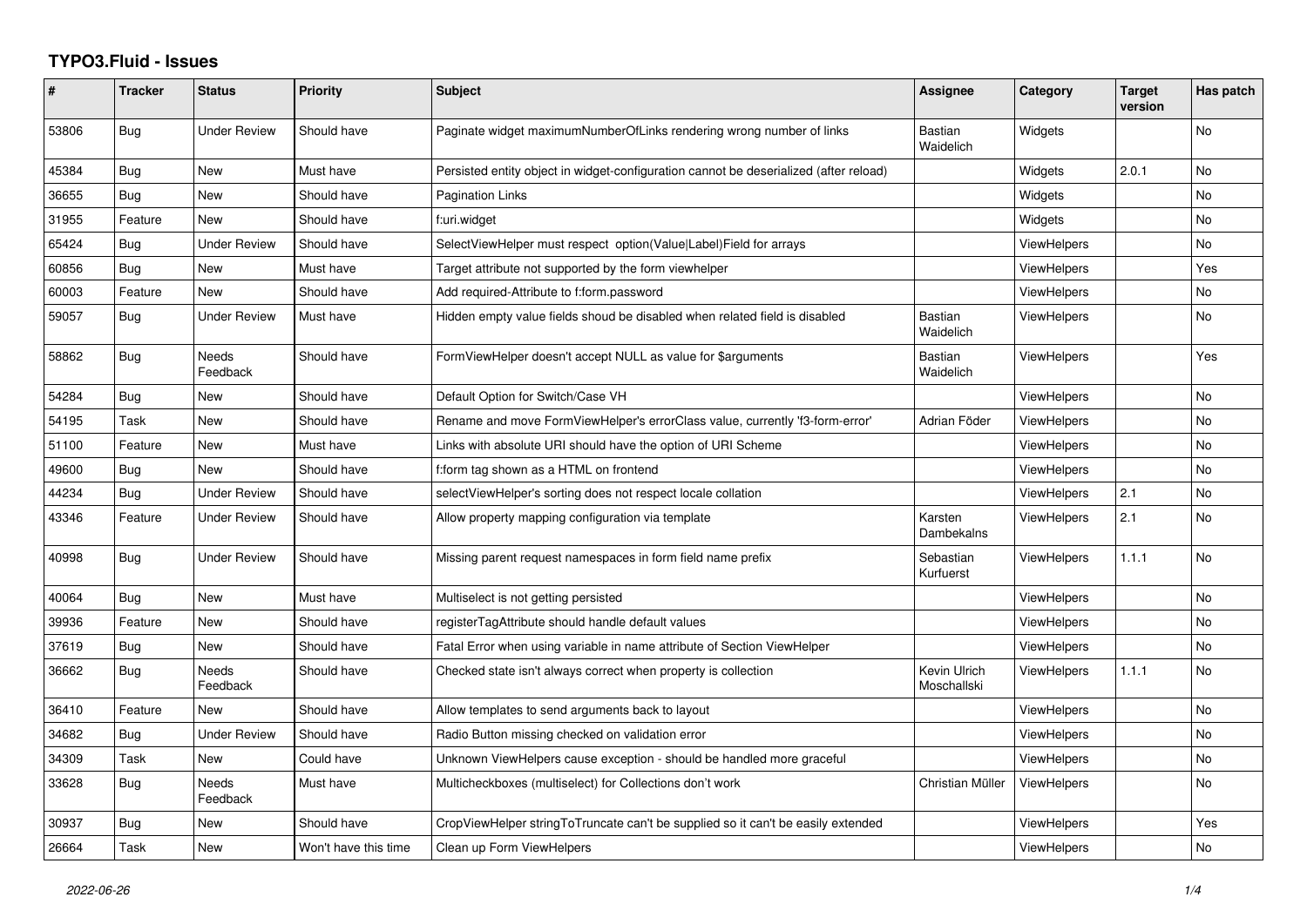## **TYPO3.Fluid - Issues**

| ∦     | <b>Tracker</b> | <b>Status</b>            | Priority             | Subject                                                                               | Assignee                    | Category           | <b>Target</b><br>version | Has patch      |
|-------|----------------|--------------------------|----------------------|---------------------------------------------------------------------------------------|-----------------------------|--------------------|--------------------------|----------------|
| 53806 | Bug            | <b>Under Review</b>      | Should have          | Paginate widget maximumNumberOfLinks rendering wrong number of links                  | <b>Bastian</b><br>Waidelich | Widgets            |                          | No             |
| 45384 | Bug            | New                      | Must have            | Persisted entity object in widget-configuration cannot be deserialized (after reload) |                             | Widgets            | 2.0.1                    | No             |
| 36655 | Bug            | New                      | Should have          | Pagination Links                                                                      |                             | Widgets            |                          | No             |
| 31955 | Feature        | <b>New</b>               | Should have          | f:uri.widget                                                                          |                             | Widgets            |                          | No.            |
| 65424 | Bug            | <b>Under Review</b>      | Should have          | SelectViewHelper must respect option(Value Label)Field for arrays                     |                             | <b>ViewHelpers</b> |                          | No             |
| 60856 | Bug            | New                      | Must have            | Target attribute not supported by the form viewhelper                                 |                             | <b>ViewHelpers</b> |                          | Yes            |
| 60003 | Feature        | <b>New</b>               | Should have          | Add required-Attribute to f:form.password                                             |                             | <b>ViewHelpers</b> |                          | No.            |
| 59057 | Bug            | <b>Under Review</b>      | Must have            | Hidden empty value fields shoud be disabled when related field is disabled            | Bastian<br>Waidelich        | <b>ViewHelpers</b> |                          | No             |
| 58862 | <b>Bug</b>     | Needs<br>Feedback        | Should have          | FormViewHelper doesn't accept NULL as value for \$arguments                           | <b>Bastian</b><br>Waidelich | <b>ViewHelpers</b> |                          | Yes            |
| 54284 | Bug            | <b>New</b>               | Should have          | Default Option for Switch/Case VH                                                     |                             | <b>ViewHelpers</b> |                          | No             |
| 54195 | Task           | New                      | Should have          | Rename and move FormViewHelper's errorClass value, currently 'f3-form-error'          | Adrian Föder                | <b>ViewHelpers</b> |                          | No             |
| 51100 | Feature        | New                      | Must have            | Links with absolute URI should have the option of URI Scheme                          |                             | <b>ViewHelpers</b> |                          | No             |
| 49600 | <b>Bug</b>     | <b>New</b>               | Should have          | f:form tag shown as a HTML on frontend                                                |                             | <b>ViewHelpers</b> |                          | No             |
| 44234 | Bug            | <b>Under Review</b>      | Should have          | selectViewHelper's sorting does not respect locale collation                          |                             | <b>ViewHelpers</b> | 2.1                      | No             |
| 43346 | Feature        | <b>Under Review</b>      | Should have          | Allow property mapping configuration via template                                     | Karsten<br>Dambekalns       | <b>ViewHelpers</b> | 2.1                      | No             |
| 40998 | Bug            | <b>Under Review</b>      | Should have          | Missing parent request namespaces in form field name prefix                           | Sebastian<br>Kurfuerst      | <b>ViewHelpers</b> | 1.1.1                    | No             |
| 40064 | <b>Bug</b>     | <b>New</b>               | Must have            | Multiselect is not getting persisted                                                  |                             | <b>ViewHelpers</b> |                          | N <sub>o</sub> |
| 39936 | Feature        | New                      | Should have          | registerTagAttribute should handle default values                                     |                             | <b>ViewHelpers</b> |                          | No             |
| 37619 | Bug            | New                      | Should have          | Fatal Error when using variable in name attribute of Section ViewHelper               |                             | ViewHelpers        |                          | No             |
| 36662 | Bug            | <b>Needs</b><br>Feedback | Should have          | Checked state isn't always correct when property is collection                        | Kevin Ulrich<br>Moschallski | ViewHelpers        | 1.1.1                    | No.            |
| 36410 | Feature        | New                      | Should have          | Allow templates to send arguments back to layout                                      |                             | <b>ViewHelpers</b> |                          | No             |
| 34682 | Bug            | <b>Under Review</b>      | Should have          | Radio Button missing checked on validation error                                      |                             | <b>ViewHelpers</b> |                          | <b>No</b>      |
| 34309 | Task           | New                      | Could have           | Unknown ViewHelpers cause exception - should be handled more graceful                 |                             | <b>ViewHelpers</b> |                          | No             |
| 33628 | Bug            | Needs<br>Feedback        | Must have            | Multicheckboxes (multiselect) for Collections don't work                              | Christian Müller            | <b>ViewHelpers</b> |                          | No             |
| 30937 | Bug            | New                      | Should have          | CropViewHelper stringToTruncate can't be supplied so it can't be easily extended      |                             | <b>ViewHelpers</b> |                          | Yes            |
| 26664 | Task           | New                      | Won't have this time | Clean up Form ViewHelpers                                                             |                             | <b>ViewHelpers</b> |                          | No             |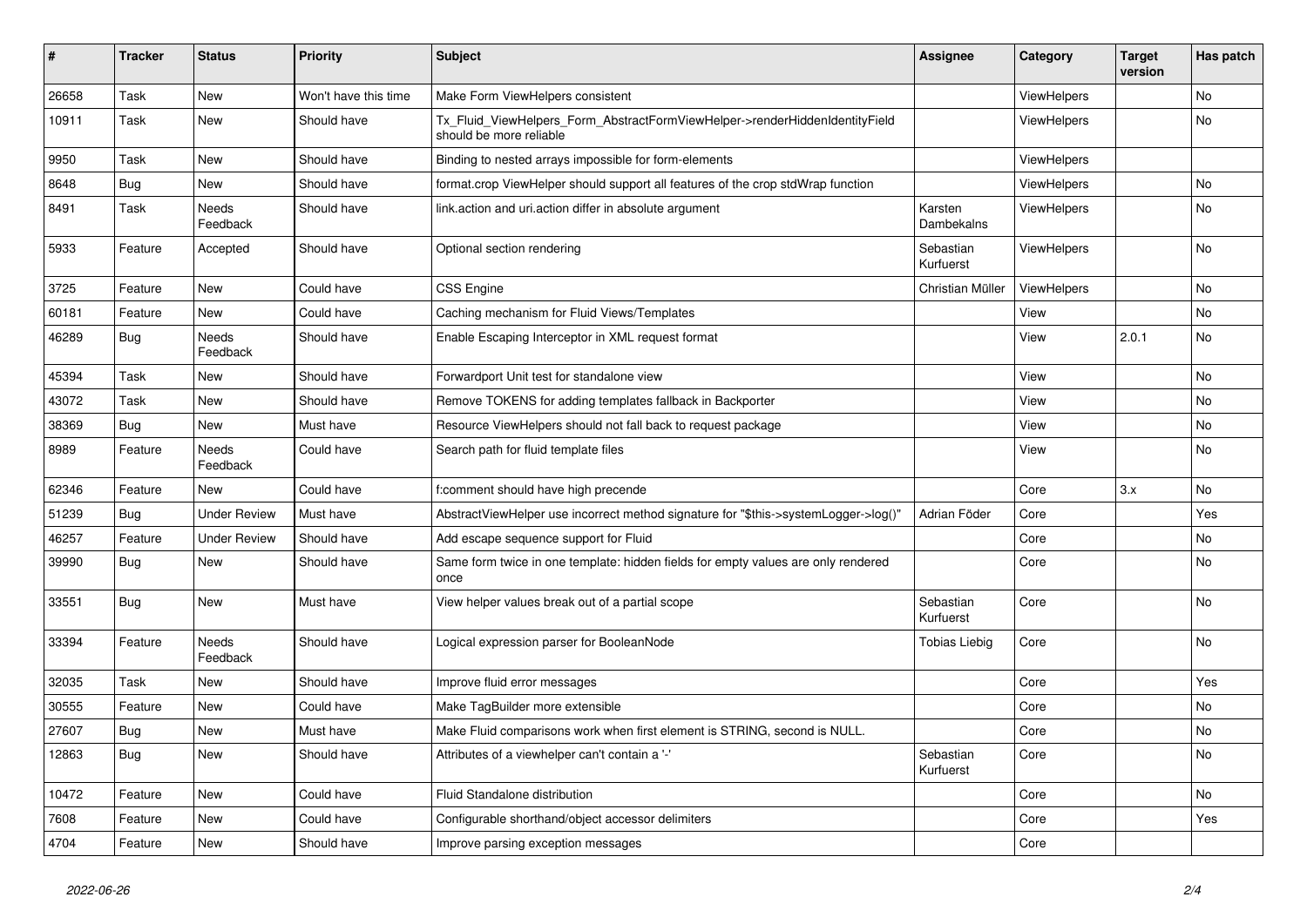| $\vert$ # | <b>Tracker</b> | <b>Status</b>       | <b>Priority</b>      | <b>Subject</b>                                                                                         | <b>Assignee</b>        | Category           | <b>Target</b><br>version | Has patch |
|-----------|----------------|---------------------|----------------------|--------------------------------------------------------------------------------------------------------|------------------------|--------------------|--------------------------|-----------|
| 26658     | Task           | <b>New</b>          | Won't have this time | Make Form ViewHelpers consistent                                                                       |                        | <b>ViewHelpers</b> |                          | <b>No</b> |
| 10911     | Task           | New                 | Should have          | Tx_Fluid_ViewHelpers_Form_AbstractFormViewHelper->renderHiddenIdentityField<br>should be more reliable |                        | ViewHelpers        |                          | <b>No</b> |
| 9950      | Task           | New                 | Should have          | Binding to nested arrays impossible for form-elements                                                  |                        | ViewHelpers        |                          |           |
| 8648      | Bug            | New                 | Should have          | format.crop ViewHelper should support all features of the crop stdWrap function                        |                        | ViewHelpers        |                          | No        |
| 8491      | Task           | Needs<br>Feedback   | Should have          | link.action and uri.action differ in absolute argument                                                 | Karsten<br>Dambekalns  | <b>ViewHelpers</b> |                          | No        |
| 5933      | Feature        | Accepted            | Should have          | Optional section rendering                                                                             | Sebastian<br>Kurfuerst | <b>ViewHelpers</b> |                          | No        |
| 3725      | Feature        | <b>New</b>          | Could have           | <b>CSS Engine</b>                                                                                      | Christian Müller       | <b>ViewHelpers</b> |                          | No        |
| 60181     | Feature        | <b>New</b>          | Could have           | Caching mechanism for Fluid Views/Templates                                                            |                        | View               |                          | <b>No</b> |
| 46289     | Bug            | Needs<br>Feedback   | Should have          | Enable Escaping Interceptor in XML request format                                                      |                        | View               | 2.0.1                    | <b>No</b> |
| 45394     | Task           | New                 | Should have          | Forwardport Unit test for standalone view                                                              |                        | View               |                          | No        |
| 43072     | Task           | New                 | Should have          | Remove TOKENS for adding templates fallback in Backporter                                              |                        | View               |                          | No        |
| 38369     | Bug            | New                 | Must have            | Resource ViewHelpers should not fall back to request package                                           |                        | View               |                          | No        |
| 8989      | Feature        | Needs<br>Feedback   | Could have           | Search path for fluid template files                                                                   |                        | View               |                          | No        |
| 62346     | Feature        | New                 | Could have           | f:comment should have high precende                                                                    |                        | Core               | 3.x                      | <b>No</b> |
| 51239     | Bug            | <b>Under Review</b> | Must have            | AbstractViewHelper use incorrect method signature for "\$this->systemLogger->log()"                    | Adrian Föder           | Core               |                          | Yes       |
| 46257     | Feature        | <b>Under Review</b> | Should have          | Add escape sequence support for Fluid                                                                  |                        | Core               |                          | No        |
| 39990     | Bug            | New                 | Should have          | Same form twice in one template: hidden fields for empty values are only rendered<br>once              |                        | Core               |                          | No        |
| 33551     | Bug            | New                 | Must have            | View helper values break out of a partial scope                                                        | Sebastian<br>Kurfuerst | Core               |                          | No        |
| 33394     | Feature        | Needs<br>Feedback   | Should have          | Logical expression parser for BooleanNode                                                              | Tobias Liebig          | Core               |                          | <b>No</b> |
| 32035     | Task           | <b>New</b>          | Should have          | Improve fluid error messages                                                                           |                        | Core               |                          | Yes       |
| 30555     | Feature        | New                 | Could have           | Make TagBuilder more extensible                                                                        |                        | Core               |                          | <b>No</b> |
| 27607     | Bug            | New                 | Must have            | Make Fluid comparisons work when first element is STRING, second is NULL.                              |                        | Core               |                          | No        |
| 12863     | Bug            | New                 | Should have          | Attributes of a viewhelper can't contain a '-'                                                         | Sebastian<br>Kurfuerst | Core               |                          | No        |
| 10472     | Feature        | New                 | Could have           | Fluid Standalone distribution                                                                          |                        | Core               |                          | No        |
| 7608      | Feature        | New                 | Could have           | Configurable shorthand/object accessor delimiters                                                      |                        | Core               |                          | Yes       |
| 4704      | Feature        | New                 | Should have          | Improve parsing exception messages                                                                     |                        | Core               |                          |           |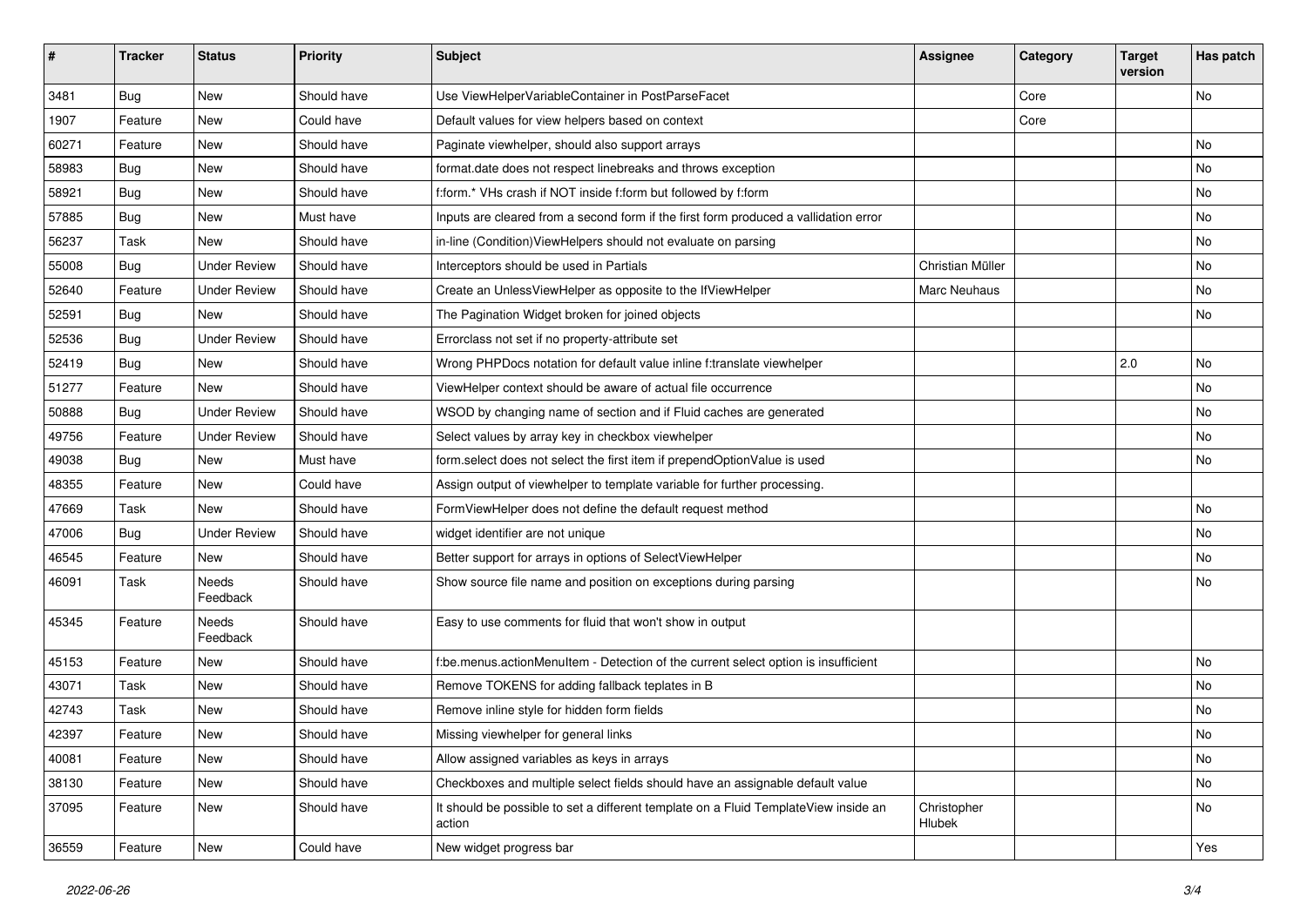| #     | <b>Tracker</b> | <b>Status</b>       | Priority    | Subject                                                                                       | <b>Assignee</b>       | Category | <b>Target</b><br>version | Has patch |
|-------|----------------|---------------------|-------------|-----------------------------------------------------------------------------------------------|-----------------------|----------|--------------------------|-----------|
| 3481  | Bug            | New                 | Should have | Use ViewHelperVariableContainer in PostParseFacet                                             |                       | Core     |                          | <b>No</b> |
| 1907  | Feature        | New                 | Could have  | Default values for view helpers based on context                                              |                       | Core     |                          |           |
| 60271 | Feature        | New                 | Should have | Paginate viewhelper, should also support arrays                                               |                       |          |                          | No        |
| 58983 | Bug            | New                 | Should have | format.date does not respect linebreaks and throws exception                                  |                       |          |                          | No        |
| 58921 | Bug            | New                 | Should have | f:form.* VHs crash if NOT inside f:form but followed by f:form                                |                       |          |                          | No        |
| 57885 | Bug            | New                 | Must have   | Inputs are cleared from a second form if the first form produced a vallidation error          |                       |          |                          | No        |
| 56237 | Task           | New                 | Should have | in-line (Condition) View Helpers should not evaluate on parsing                               |                       |          |                          | No        |
| 55008 | Bug            | <b>Under Review</b> | Should have | Interceptors should be used in Partials                                                       | Christian Müller      |          |                          | No        |
| 52640 | Feature        | <b>Under Review</b> | Should have | Create an UnlessViewHelper as opposite to the IfViewHelper                                    | Marc Neuhaus          |          |                          | No        |
| 52591 | Bug            | New                 | Should have | The Pagination Widget broken for joined objects                                               |                       |          |                          | No        |
| 52536 | Bug            | <b>Under Review</b> | Should have | Errorclass not set if no property-attribute set                                               |                       |          |                          |           |
| 52419 | Bug            | New                 | Should have | Wrong PHPDocs notation for default value inline f:translate viewhelper                        |                       |          | 2.0                      | No        |
| 51277 | Feature        | New                 | Should have | ViewHelper context should be aware of actual file occurrence                                  |                       |          |                          | No        |
| 50888 | Bug            | <b>Under Review</b> | Should have | WSOD by changing name of section and if Fluid caches are generated                            |                       |          |                          | No        |
| 49756 | Feature        | <b>Under Review</b> | Should have | Select values by array key in checkbox viewhelper                                             |                       |          |                          | No        |
| 49038 | Bug            | <b>New</b>          | Must have   | form.select does not select the first item if prependOptionValue is used                      |                       |          |                          | No        |
| 48355 | Feature        | New                 | Could have  | Assign output of viewhelper to template variable for further processing.                      |                       |          |                          |           |
| 47669 | Task           | New                 | Should have | FormViewHelper does not define the default request method                                     |                       |          |                          | No        |
| 47006 | Bug            | <b>Under Review</b> | Should have | widget identifier are not unique                                                              |                       |          |                          | No        |
| 46545 | Feature        | New                 | Should have | Better support for arrays in options of SelectViewHelper                                      |                       |          |                          | No        |
| 46091 | Task           | Needs<br>Feedback   | Should have | Show source file name and position on exceptions during parsing                               |                       |          |                          | No        |
| 45345 | Feature        | Needs<br>Feedback   | Should have | Easy to use comments for fluid that won't show in output                                      |                       |          |                          |           |
| 45153 | Feature        | New                 | Should have | f:be.menus.actionMenuItem - Detection of the current select option is insufficient            |                       |          |                          | No        |
| 43071 | Task           | New                 | Should have | Remove TOKENS for adding fallback teplates in B                                               |                       |          |                          | <b>No</b> |
| 42743 | Task           | New                 | Should have | Remove inline style for hidden form fields                                                    |                       |          |                          | No        |
| 42397 | Feature        | New                 | Should have | Missing viewhelper for general links                                                          |                       |          |                          | No        |
| 40081 | Feature        | New                 | Should have | Allow assigned variables as keys in arrays                                                    |                       |          |                          | No        |
| 38130 | Feature        | New                 | Should have | Checkboxes and multiple select fields should have an assignable default value                 |                       |          |                          | No        |
| 37095 | Feature        | New                 | Should have | It should be possible to set a different template on a Fluid TemplateView inside an<br>action | Christopher<br>Hlubek |          |                          | No        |
| 36559 | Feature        | New                 | Could have  | New widget progress bar                                                                       |                       |          |                          | Yes       |